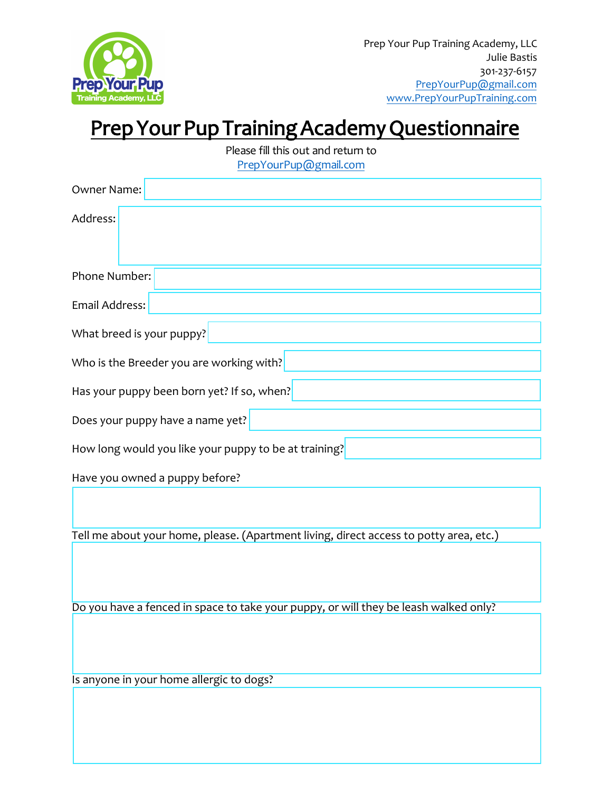

## Prep Your Pup Training Academy Questionnaire

| Please fill this out and return to<br>PrepYourPup@gmail.com |
|-------------------------------------------------------------|
| Owner Name:                                                 |
| Address:                                                    |
| <b>Phone Number:</b>                                        |
| Email Address:                                              |
| What breed is your puppy?                                   |
| Who is the Breeder you are working with?                    |
| Has your puppy been born yet? If so, when?                  |
| Does your puppy have a name yet?                            |
| How long would you like your puppy to be at training?       |

Have you owned a puppy before?

Tell me about your home, please. (Apartment living, direct access to potty area, etc.)

Do you have a fenced in space to take your puppy, or will they be leash walked only?

Is anyone in your home allergic to dogs?